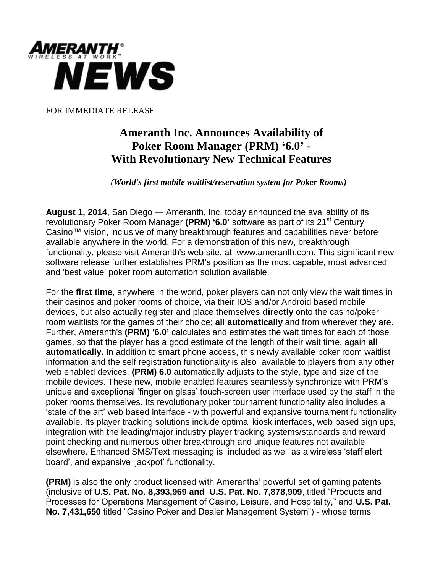

FOR IMMEDIATE RELEASE

## **Ameranth Inc. Announces Availability of Poker Room Manager (PRM) '6.0' - With Revolutionary New Technical Features**

 *(World's first mobile waitlist/reservation system for Poker Rooms)*

**August 1, 2014**, San Diego — Ameranth, Inc. today announced the availability of its revolutionary Poker Room Manager **(PRM) '6.0'** software as part of its 21<sup>st</sup> Century Casino™ vision, inclusive of many breakthrough features and capabilities never before available anywhere in the world. For a demonstration of this new, breakthrough functionality, please visit Ameranth's web site, at www.ameranth.com. This significant new software release further establishes PRM's position as the most capable, most advanced and 'best value' poker room automation solution available.

For the **first time**, anywhere in the world, poker players can not only view the wait times in their casinos and poker rooms of choice, via their IOS and/or Android based mobile devices, but also actually register and place themselves **directly** onto the casino/poker room waitlists for the games of their choice; **all automatically** and from wherever they are. Further, Ameranth's **(PRM) '6.0'** calculates and estimates the wait times for each of those games, so that the player has a good estimate of the length of their wait time, again **all automatically.** In addition to smart phone access, this newly available poker room waitlist information and the self registration functionality is also available to players from any other web enabled devices. **(PRM) 6.0** automatically adjusts to the style, type and size of the mobile devices. These new, mobile enabled features seamlessly synchronize with PRM's unique and exceptional 'finger on glass' touch-screen user interface used by the staff in the poker rooms themselves. Its revolutionary poker tournament functionality also includes a 'state of the art' web based interface - with powerful and expansive tournament functionality available. Its player tracking solutions include optimal kiosk interfaces, web based sign ups, integration with the leading/major industry player tracking systems/standards and reward point checking and numerous other breakthrough and unique features not available elsewhere. Enhanced SMS/Text messaging is included as well as a wireless 'staff alert board', and expansive 'jackpot' functionality.

**(PRM)** is also the only product licensed with Ameranths' powerful set of gaming patents (inclusive of **U.S. Pat. No. 8,393,969 and U.S. Pat. No. 7,878,909**, titled "Products and Processes for Operations Management of Casino, Leisure, and Hospitality," and **U.S. Pat. No. 7,431,650** titled "Casino Poker and Dealer Management System") - whose terms